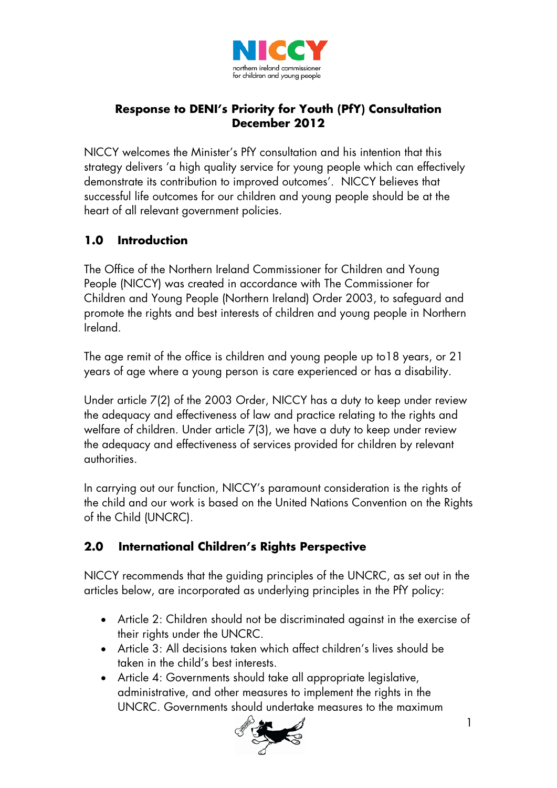

## **Response to DENI's Priority for Youth (PfY) Consultation December 2012**

NICCY welcomes the Minister's PfY consultation and his intention that this strategy delivers 'a high quality service for young people which can effectively demonstrate its contribution to improved outcomes'. NICCY believes that successful life outcomes for our children and young people should be at the heart of all relevant government policies.

# **1.0 Introduction**

The Office of the Northern Ireland Commissioner for Children and Young People (NICCY) was created in accordance with The Commissioner for Children and Young People (Northern Ireland) Order 2003, to safeguard and promote the rights and best interests of children and young people in Northern Ireland.

The age remit of the office is children and young people up to18 years, or 21 years of age where a young person is care experienced or has a disability.

Under article 7(2) of the 2003 Order, NICCY has a duty to keep under review the adequacy and effectiveness of law and practice relating to the rights and welfare of children. Under article 7(3), we have a duty to keep under review the adequacy and effectiveness of services provided for children by relevant authorities.

In carrying out our function, NICCY's paramount consideration is the rights of the child and our work is based on the United Nations Convention on the Rights of the Child (UNCRC).

# **2.0 International Children's Rights Perspective**

NICCY recommends that the guiding principles of the UNCRC, as set out in the articles below, are incorporated as underlying principles in the PfY policy:

- Article 2: Children should not be discriminated against in the exercise of their rights under the UNCRC.
- Article 3: All decisions taken which affect children's lives should be taken in the child's best interests.
- Article 4: Governments should take all appropriate legislative, administrative, and other measures to implement the rights in the UNCRC. Governments should undertake measures to the maximum

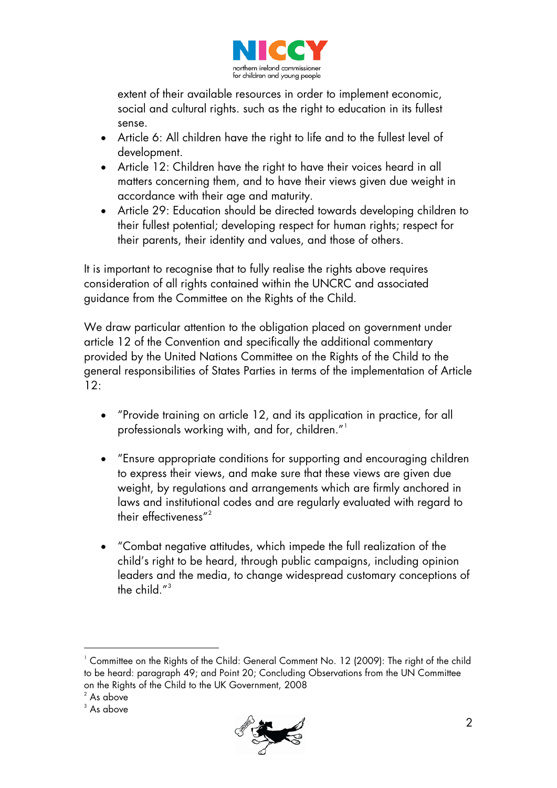

extent of their available resources in order to implement economic, social and cultural rights. such as the right to education in its fullest sense.

- Article 6: All children have the right to life and to the fullest level of development.
- Article 12: Children have the right to have their voices heard in all matters concerning them, and to have their views given due weight in accordance with their age and maturity.
- Article 29: Education should be directed towards developing children to their fullest potential; developing respect for human rights; respect for their parents, their identity and values, and those of others.

It is important to recognise that to fully realise the rights above requires consideration of all rights contained within the UNCRC and associated guidance from the Committee on the Rights of the Child.

We draw particular attention to the obligation placed on government under article 12 of the Convention and specifically the additional commentary provided by the United Nations Committee on the Rights of the Child to the general responsibilities of States Parties in terms of the implementation of Article  $12:$ 

- "Provide training on article 12, and its application in practice, for all professionals working with, and for, children."<sup>[1](#page-1-0)</sup>
- "Ensure appropriate conditions for supporting and encouraging children to express their views, and make sure that these views are given due weight, by regulations and arrangements which are firmly anchored in laws and institutional codes and are regularly evaluated with regard to their effectiveness" [2](#page-1-1)
- "Combat negative attitudes, which impede the full realization of the child's right to be heard, through public campaigns, including opinion leaders and the media, to change widespread customary conceptions of the child."[3](#page-1-2)



<span id="page-1-0"></span> $^1$  Committee on the Rights of the Child: General Comment No. 12 (2009): The right of the child to be heard: paragraph 49; and Point 20; Concluding Observations from the UN Committee on the Rights of the Child to the UK Government, 2008

<span id="page-1-2"></span><span id="page-1-1"></span> $2$  As above

 $3$  As above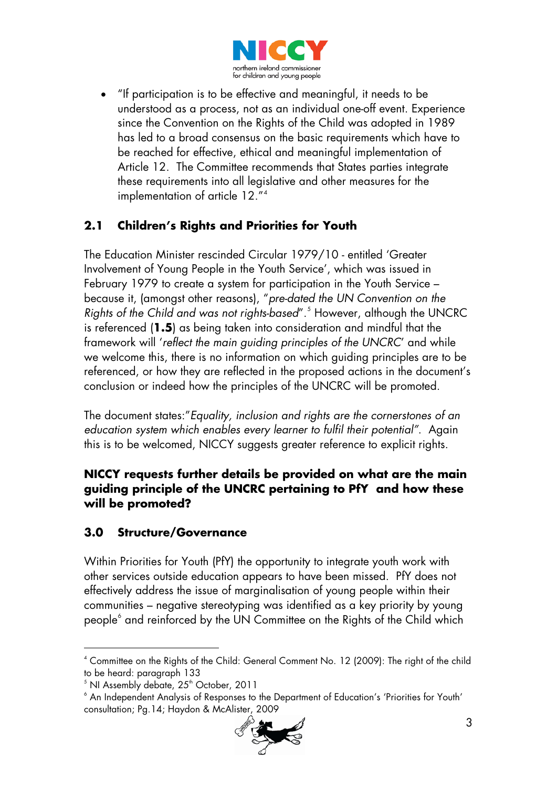

• "If participation is to be effective and meaningful, it needs to be understood as a process, not as an individual one-off event. Experience since the Convention on the Rights of the Child was adopted in 1989 has led to a broad consensus on the basic requirements which have to be reached for effective, ethical and meaningful implementation of Article 12. The Committee recommends that States parties integrate these requirements into all legislative and other measures for the implementation of article 12."[4](#page-2-0)

## **2.1 Children's Rights and Priorities for Youth**

The Education Minister rescinded Circular 1979/10 - entitled 'Greater Involvement of Young People in the Youth Service', which was issued in February 1979 to create a system for participation in the Youth Service – because it, (amongst other reasons), "*pre-dated the UN Convention on the Rights of the Child and was not rights-based*". [5](#page-2-1) However, although the UNCRC is referenced (**1.5**) as being taken into consideration and mindful that the framework will '*reflect the main guiding principles of the UNCRC*' and while we welcome this, there is no information on which guiding principles are to be referenced, or how they are reflected in the proposed actions in the document's conclusion or indeed how the principles of the UNCRC will be promoted.

The document states:"*Equality, inclusion and rights are the cornerstones of an education system which enables every learner to fulfil their potential"*. Again this is to be welcomed, NICCY suggests greater reference to explicit rights.

#### **NICCY requests further details be provided on what are the main guiding principle of the UNCRC pertaining to PfY and how these will be promoted?**

## **3.0 Structure/Governance**

Within Priorities for Youth (PfY) the opportunity to integrate youth work with other services outside education appears to have been missed. PfY does not effectively address the issue of marginalisation of young people within their communities – negative stereotyping was identified as a key priority by young people<sup>[6](#page-2-2)</sup> and reinforced by the UN Committee on the Rights of the Child which

<span id="page-2-2"></span><sup>&</sup>lt;sup>6</sup> An Independent Analysis of Responses to the Department of Education's 'Priorities for Youth' consultation; Pg.14; Haydon & McAlister, 2009



<span id="page-2-0"></span> $^{\circ}$  Committee on the Rights of the Child: General Comment No. 12 (2009): The right of the child to be heard: paragraph 133

<span id="page-2-1"></span> $^5$  NI Assembly debate, 25<sup>th</sup> October, 2011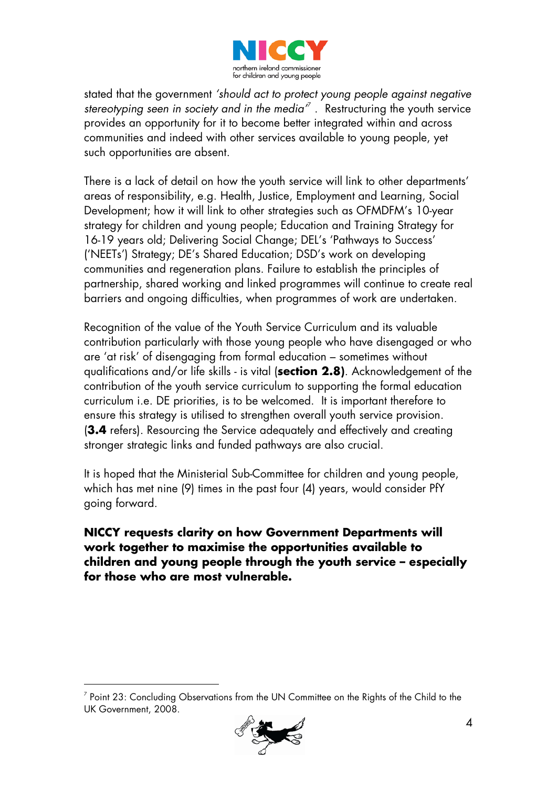

stated that the government *'should act to protect young people against negative stereotyping seen in society and in the media'* [7](#page-3-0) . Restructuring the youth service provides an opportunity for it to become better integrated within and across communities and indeed with other services available to young people, yet such opportunities are absent.

There is a lack of detail on how the youth service will link to other departments' areas of responsibility, e.g. Health, Justice, Employment and Learning, Social Development; how it will link to other strategies such as OFMDFM's 10-year strategy for children and young people; Education and Training Strategy for 16-19 years old; Delivering Social Change; DEL's 'Pathways to Success' ('NEETs') Strategy; DE's Shared Education; DSD's work on developing communities and regeneration plans. Failure to establish the principles of partnership, shared working and linked programmes will continue to create real barriers and ongoing difficulties, when programmes of work are undertaken.

Recognition of the value of the Youth Service Curriculum and its valuable contribution particularly with those young people who have disengaged or who are 'at risk' of disengaging from formal education – sometimes without qualifications and/or life skills - is vital (**section 2.8)**. Acknowledgement of the contribution of the youth service curriculum to supporting the formal education curriculum i.e. DE priorities, is to be welcomed. It is important therefore to ensure this strategy is utilised to strengthen overall youth service provision. (**3.4** refers). Resourcing the Service adequately and effectively and creating stronger strategic links and funded pathways are also crucial.

It is hoped that the Ministerial Sub-Committee for children and young people, which has met nine (9) times in the past four (4) years, would consider PfY going forward.

#### **NICCY requests clarity on how Government Departments will work together to maximise the opportunities available to children and young people through the youth service – especially for those who are most vulnerable.**



<span id="page-3-0"></span> $<sup>7</sup>$  Point 23: Concluding Observations from the UN Committee on the Rights of the Child to the</sup> UK Government, 2008.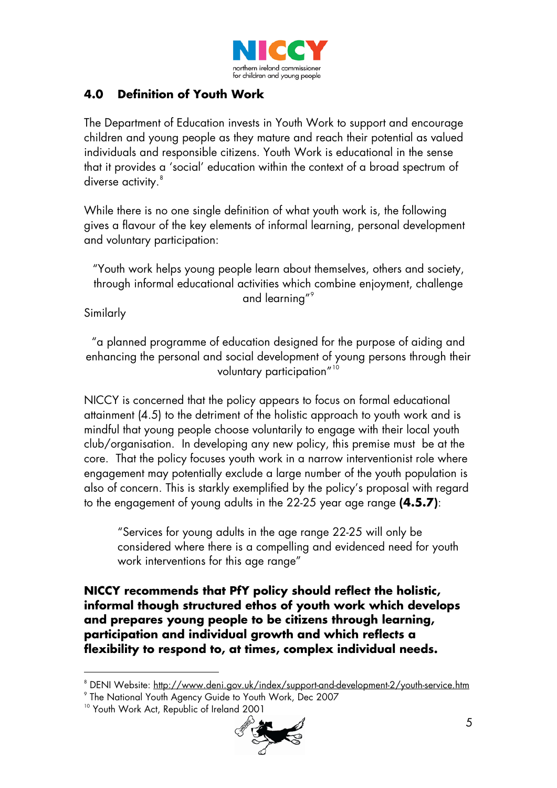

## **4.0 Definition of Youth Work**

The Department of Education invests in Youth Work to support and encourage children and young people as they mature and reach their potential as valued individuals and responsible citizens. Youth Work is educational in the sense that it provides a 'social' education within the context of a broad spectrum of diverse activity.<sup>[8](#page-4-0)</sup>

While there is no one single definition of what youth work is, the following gives a flavour of the key elements of informal learning, personal development and voluntary participation:

"Youth work helps young people learn about themselves, others and society, through informal educational activities which combine enjoyment, challenge and learning"<sup>[9](#page-4-1)</sup>

Similarly

l

"a planned programme of education designed for the purpose of aiding and enhancing the personal and social development of young persons through their voluntary participation" [10](#page-4-2) 

NICCY is concerned that the policy appears to focus on formal educational attainment (4.5) to the detriment of the holistic approach to youth work and is mindful that young people choose voluntarily to engage with their local youth club/organisation. In developing any new policy, this premise must be at the core. That the policy focuses youth work in a narrow interventionist role where engagement may potentially exclude a large number of the youth population is also of concern. This is starkly exemplified by the policy's proposal with regard to the engagement of young adults in the 22-25 year age range **(4.5.7)**:

"Services for young adults in the age range 22-25 will only be considered where there is a compelling and evidenced need for youth work interventions for this age range"

**NICCY recommends that PfY policy should reflect the holistic, informal though structured ethos of youth work which develops and prepares young people to be citizens through learning, participation and individual growth and which reflects a flexibility to respond to, at times, complex individual needs.** 

<span id="page-4-2"></span><sup>&</sup>lt;sup>10</sup> Youth Work Act, Republic of Ireland 2001



<span id="page-4-0"></span> $^{\circ}$  DENI Website: <u>http://www.deni.gov.uk/index/support-and-development-2/youth-service.htm</u>

<span id="page-4-1"></span><sup>9</sup> The National Youth Agency Guide to Youth Work, Dec 2007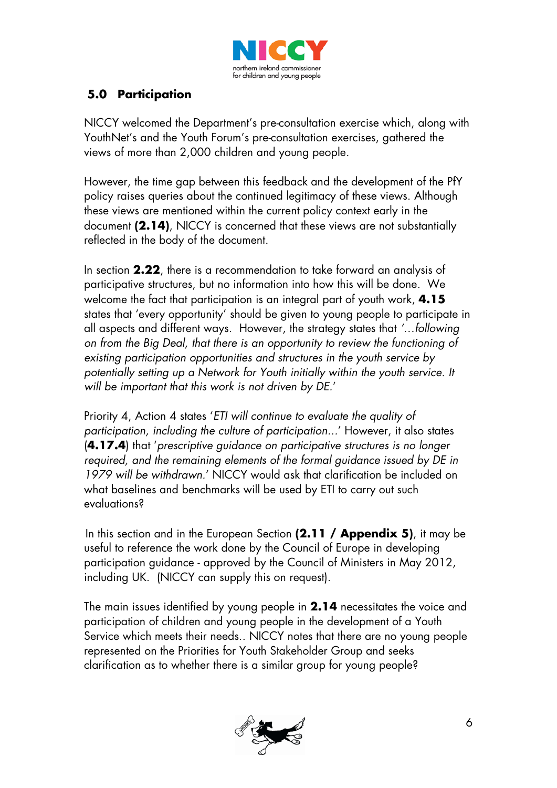

## **5.0 Participation**

NICCY welcomed the Department's pre-consultation exercise which, along with YouthNet's and the Youth Forum's pre-consultation exercises, gathered the views of more than 2,000 children and young people.

However, the time gap between this feedback and the development of the PfY policy raises queries about the continued legitimacy of these views. Although these views are mentioned within the current policy context early in the document **(2.14)**, NICCY is concerned that these views are not substantially reflected in the body of the document.

In section **2.22**, there is a recommendation to take forward an analysis of participative structures, but no information into how this will be done. We welcome the fact that participation is an integral part of youth work, **4.15** states that 'every opportunity' should be given to young people to participate in all aspects and different ways. However, the strategy states that *'…following on from the Big Deal, that there is an opportunity to review the functioning of existing participation opportunities and structures in the youth service by*  potentially setting up a Network for Youth initially within the youth service. It *will be important that this work is not driven by DE.*'

Priority 4, Action 4 states '*ETI will continue to evaluate the quality of participation, including the culture of participation...*' However, it also states (**4.17.4**) that '*prescriptive guidance on participative structures is no longer required, and the remaining elements of the formal guidance issued by DE in 1979 will be withdrawn.*' NICCY would ask that clarification be included on what baselines and benchmarks will be used by ETI to carry out such evaluations?

In this section and in the European Section **(2.11 / Appendix 5)**, it may be useful to reference the work done by the Council of Europe in developing participation guidance - approved by the Council of Ministers in May 2012, including UK. (NICCY can supply this on request).

The main issues identified by young people in **2.14** necessitates the voice and participation of children and young people in the development of a Youth Service which meets their needs.. NICCY notes that there are no young people represented on the Priorities for Youth Stakeholder Group and seeks clarification as to whether there is a similar group for young people?

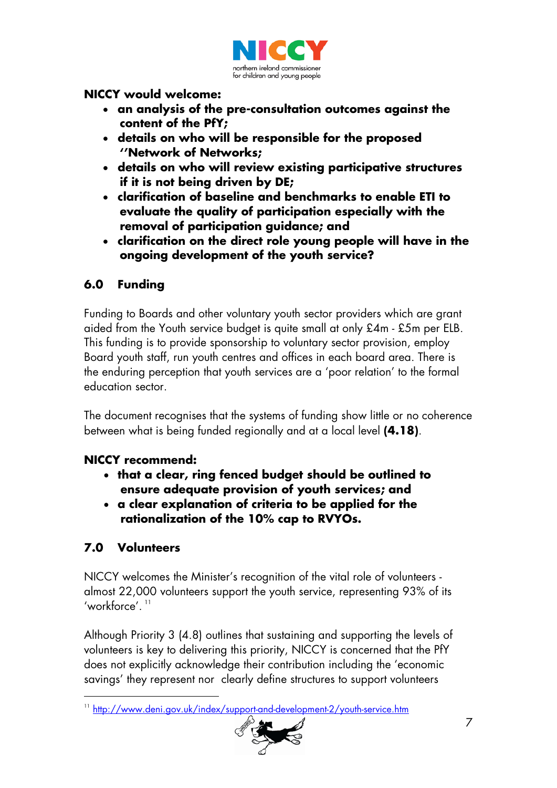

#### **NICCY would welcome:**

- **an analysis of the pre-consultation outcomes against the content of the PfY;**
- **details on who will be responsible for the proposed ''Network of Networks;**
- **details on who will review existing participative structures if it is not being driven by DE;**
- **clarification of baseline and benchmarks to enable ETI to evaluate the quality of participation especially with the removal of participation guidance; and**
- **clarification on the direct role young people will have in the ongoing development of the youth service?**

## **6.0 Funding**

Funding to Boards and other voluntary youth sector providers which are grant aided from the Youth service budget is quite small at only £4m - £5m per ELB. This funding is to provide sponsorship to voluntary sector provision, employ Board youth staff, run youth centres and offices in each board area. There is the enduring perception that youth services are a 'poor relation' to the formal education sector.

The document recognises that the systems of funding show little or no coherence between what is being funded regionally and at a local level **(4.18)**.

#### **NICCY recommend:**

- **that a clear, ring fenced budget should be outlined to ensure adequate provision of youth services; and**
- **a clear explanation of criteria to be applied for the rationalization of the 10% cap to RVYOs.**

# **7.0 Volunteers**

l

NICCY welcomes the Minister's recognition of the vital role of volunteers almost 22,000 volunteers support the youth service, representing 93% of its 'workforce'.  $^{\mathrm{11}}$  $^{\mathrm{11}}$  $^{\mathrm{11}}$ 

Although Priority 3 (4.8) outlines that sustaining and supporting the levels of volunteers is key to delivering this priority, NICCY is concerned that the PfY does not explicitly acknowledge their contribution including the 'economic savings' they represent nor clearly define structures to support volunteers

<span id="page-6-0"></span><sup>&</sup>lt;sup>11</sup> <http://www.deni.gov.uk/index/support-and-development-2/youth-service.htm>

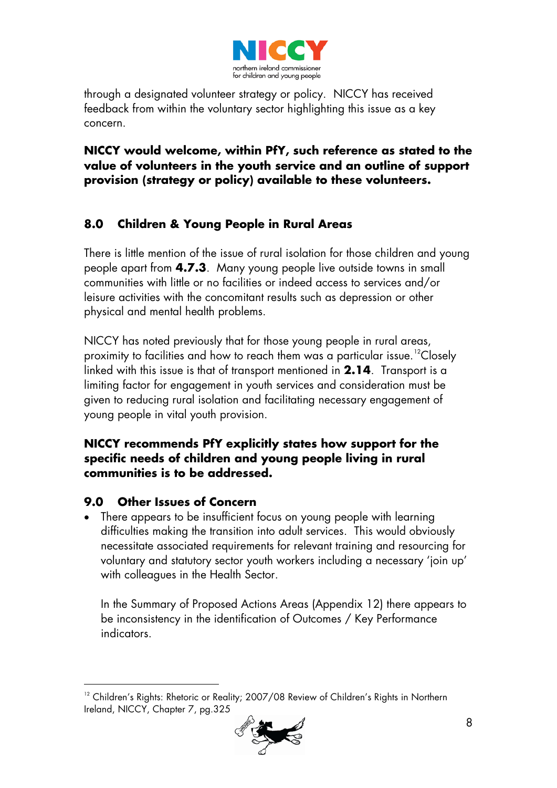

through a designated volunteer strategy or policy. NICCY has received feedback from within the voluntary sector highlighting this issue as a key concern.

### **NICCY would welcome, within PfY, such reference as stated to the value of volunteers in the youth service and an outline of support provision (strategy or policy) available to these volunteers.**

# **8.0 Children & Young People in Rural Areas**

There is little mention of the issue of rural isolation for those children and young people apart from **4.7.3**. Many young people live outside towns in small communities with little or no facilities or indeed access to services and/or leisure activities with the concomitant results such as depression or other physical and mental health problems.

NICCY has noted previously that for those young people in rural areas, proximity to facilities and how to reach them was a particular issue.<sup>[12](#page-7-0)</sup>Closely linked with this issue is that of transport mentioned in **2.14**. Transport is a limiting factor for engagement in youth services and consideration must be given to reducing rural isolation and facilitating necessary engagement of young people in vital youth provision.

#### **NICCY recommends PfY explicitly states how support for the specific needs of children and young people living in rural communities is to be addressed.**

## **9.0 Other Issues of Concern**

 $\overline{a}$ 

• There appears to be insufficient focus on young people with learning difficulties making the transition into adult services. This would obviously necessitate associated requirements for relevant training and resourcing for voluntary and statutory sector youth workers including a necessary 'join up' with colleagues in the Health Sector.

In the Summary of Proposed Actions Areas (Appendix 12) there appears to be inconsistency in the identification of Outcomes / Key Performance indicators.

<span id="page-7-0"></span><sup>&</sup>lt;sup>12</sup> Children's Rights: Rhetoric or Reality; 2007/08 Review of Children's Rights in Northern Ireland, NICCY, Chapter 7, pg.325